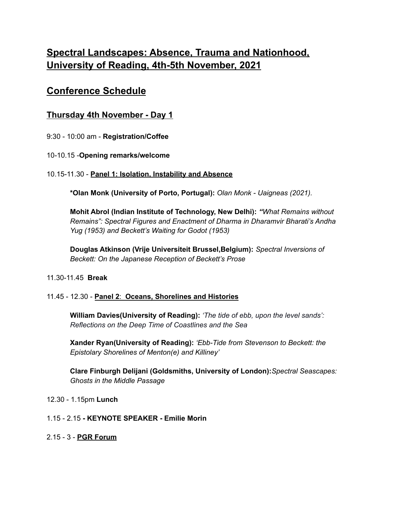# **Spectral Landscapes: Absence, Trauma and Nationhood, University of Reading, 4th-5th November, 2021**

## **Conference Schedule**

## **Thursday 4th November - Day 1**

9:30 - 10:00 am - **Registration/Coffee**

10-10.15 -**Opening remarks/welcome**

## 10.15-11.30 - **Panel 1: Isolation, Instability and Absence**

**\*Olan Monk (University of Porto, Portugal):** *Olan Monk - Uaigneas (2021).*

**Mohit Abrol (Indian Institute of Technology, New Delhi):** *"What Remains without Remains": Spectral Figures and Enactment of Dharma in Dharamvir Bharati's Andha Yug (1953) and Beckett's Waiting for Godot (1953)*

**Douglas Atkinson (Vrije Universiteit Brussel,Belgium):** *Spectral Inversions of Beckett: On the Japanese Reception of Beckett's Prose*

## 11.30-11.45 **Break**

## 11.45 - 12.30 - **Panel 2**: **Oceans, Shorelines and Histories**

**William Davies(University of Reading):** *'The tide of ebb, upon the level sands': Reflections on the Deep Time of Coastlines and the Sea*

**Xander Ryan(University of Reading):** *'Ebb-Tide from Stevenson to Beckett: the Epistolary Shorelines of Menton(e) and Killiney'*

**Clare Finburgh Delijani (Goldsmiths, University of London):***Spectral Seascapes: Ghosts in the Middle Passage*

12.30 - 1.15pm **Lunch**

## 1.15 - 2.15 **- KEYNOTE SPEAKER - Emilie Morin**

2.15 - 3 - **PGR Forum**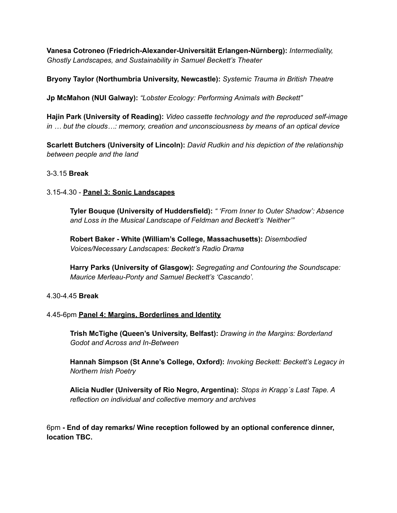**Vanesa Cotroneo (Friedrich-Alexander-Universität Erlangen-Nürnberg):** *Intermediality, Ghostly Landscapes, and Sustainability in Samuel Beckett's Theater*

**Bryony Taylor (Northumbria University, Newcastle):** *Systemic Trauma in British Theatre*

**Jp McMahon (NUI Galway):** *"Lobster Ecology: Performing Animals with Beckett"*

**Hajin Park (University of Reading):** *Video cassette technology and the reproduced self-image in … but the clouds…: memory, creation and unconsciousness by means of an optical device*

**Scarlett Butchers (University of Lincoln):** *David Rudkin and his depiction of the relationship between people and the land*

### 3-3.15 **Break**

### 3.15-4.30 - **Panel 3: Sonic Landscapes**

**Tyler Bouque (University of Huddersfield):** *" 'From Inner to Outer Shadow': Absence and Loss in the Musical Landscape of Feldman and Beckett's 'Neither'"*

**Robert Baker - White (William's College, Massachusetts):** *Disembodied Voices/Necessary Landscapes: Beckett's Radio Drama*

**Harry Parks (University of Glasgow):** *Segregating and Contouring the Soundscape: Maurice Merleau-Ponty and Samuel Beckett's 'Cascando'.*

#### 4.30-4.45 **Break**

### 4.45-6pm **Panel 4: Margins, Borderlines and Identity**

**Trish McTighe (Queen's University, Belfast):** *Drawing in the Margins: Borderland Godot and Across and In-Between*

**Hannah Simpson (St Anne's College, Oxford):** *Invoking Beckett: Beckett's Legacy in Northern Irish Poetry*

**Alicia Nudler (University of Rio Negro, Argentina):** *Stops in Krapp´s Last Tape. A reflection on individual and collective memory and archives*

6pm **- End of day remarks/ Wine reception followed by an optional conference dinner, location TBC.**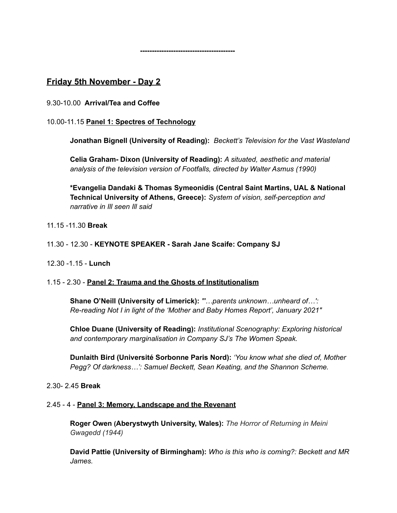**----------------------------------------**

## **Friday 5th November - Day 2**

9.30-10.00 **Arrival/Tea and Coffee**

## 10.00-11.15 **Panel 1: Spectres of Technology**

**Jonathan Bignell (University of Reading):** *Beckett's Television for the Vast Wasteland*

**Celia Graham- Dixon (University of Reading):** *A situated, aesthetic and material analysis of the television version of Footfalls, directed by Walter Asmus (1990)*

**\*Evangelia Dandaki & Thomas Symeonidis (Central Saint Martins, UAL & National Technical University of Athens, Greece):** *System of vision, self-perception and narrative in Ill seen Ill said*

## 11.15 -11.30 **Break**

## 11.30 - 12.30 - **KEYNOTE SPEAKER - Sarah Jane Scaife: Company SJ**

12.30 -1.15 - **Lunch**

### 1.15 - 2.30 - **Panel 2: Trauma and the Ghosts of Institutionalism**

**Shane O'Neill (University of Limerick):** *"'…parents unknown…unheard of…': Re-reading Not I in light of the 'Mother and Baby Homes Report', January 2021"*

**Chloe Duane (University of Reading):** *Institutional Scenography: Exploring historical and contemporary marginalisation in Company SJ's The Women Speak.*

**Dunlaith Bird (Université Sorbonne Paris Nord):** *'You know what she died of, Mother Pegg? Of darkness…': Samuel Beckett, Sean Keating, and the Shannon Scheme.*

### 2.30- 2.45 **Break**

### 2.45 - 4 - **Panel 3: Memory, Landscape and the Revenant**

**Roger Owen (Aberystwyth University, Wales):** *The Horror of Returning in Meini Gwagedd (1944)*

**David Pattie (University of Birmingham):** *Who is this who is coming?: Beckett and MR James.*